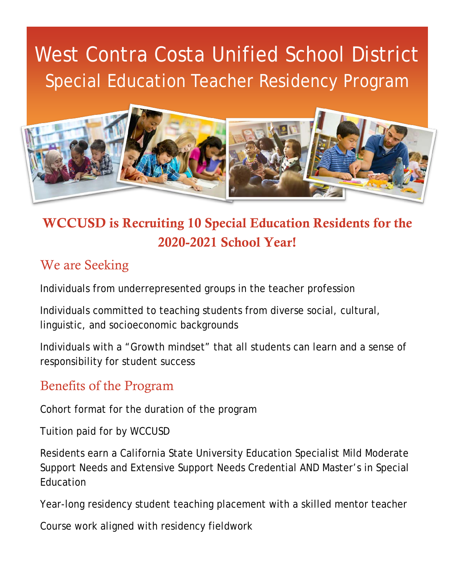# West Contra Costa Unified School District Special Education Teacher Residency Program



## WCCUSD is Recruiting 10 Special Education Residents for the 2020-2021 School Year!

#### We are Seeking

Individuals from underrepresented groups in the teacher profession

Individuals committed to teaching students from diverse social, cultural, linguistic, and socioeconomic backgrounds

Individuals with a "Growth mindset" that all students can learn and a sense of responsibility for student success

#### Benefits of the Program

Cohort format for the duration of the program

Tuition paid for by WCCUSD

Residents earn a California State University Education Specialist Mild Moderate Support Needs and Extensive Support Needs Credential AND Master's in Special Education

Year-long residency student teaching placement with a skilled mentor teacher

Course work aligned with residency fieldwork